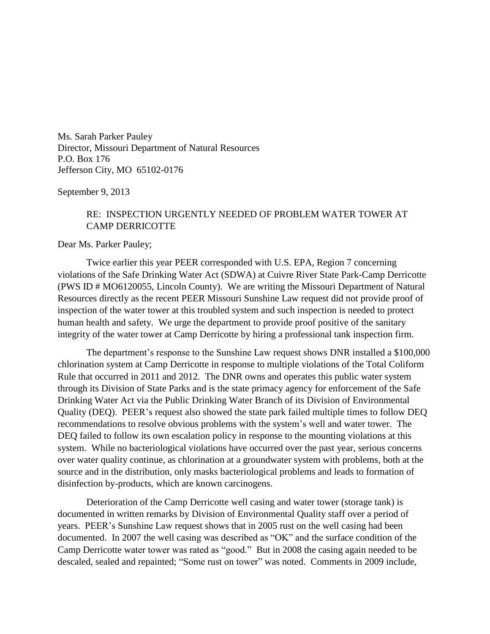Ms. Sarah Parker Pauley Director, Missouri Department of Natural Resources P.O. Box 176 Jefferson City, MO 65102-0176

September 9, 2013

## RE: INSPECTION URGENTLY NEEDED OF PROBLEM WATER TOWER AT CAMP DERRICOTTE

Dear Ms. Parker Pauley;

Twice earlier this year PEER corresponded with U.S. EPA, Region 7 concerning violations of the Safe Drinking Water Act (SDWA) at Cuivre River State Park-Camp Derricotte (PWS ID # MO6120055, Lincoln County). We are writing the Missouri Department of Natural Resources directly as the recent PEER Missouri Sunshine Law request did not provide proof of inspection of the water tower at this troubled system and such inspection is needed to protect human health and safety. We urge the department to provide proof positive of the sanitary integrity of the water tower at Camp Derricotte by hiring a professional tank inspection firm.

The department's response to the Sunshine Law request shows DNR installed a \$100,000 chlorination system at Camp Derricotte in response to multiple violations of the Total Coliform Rule that occurred in 2011 and 2012. The DNR owns and operates this public water system through its Division of State Parks and is the state primacy agency for enforcement of the Safe Drinking Water Act via the Public Drinking Water Branch of its Division of Environmental Quality (DEQ). PEER's request also showed the state park failed multiple times to follow DEQ recommendations to resolve obvious problems with the system's well and water tower. The DEQ failed to follow its own escalation policy in response to the mounting violations at this system. While no bacteriological violations have occurred over the past year, serious concerns over water quality continue, as chlorination at a groundwater system with problems, both at the source and in the distribution, only masks bacteriological problems and leads to formation of disinfection by-products, which are known carcinogens.

Deterioration of the Camp Derricotte well casing and water tower (storage tank) is documented in written remarks by Division of Environmental Quality staff over a period of years. PEER's Sunshine Law request shows that in 2005 rust on the well casing had been documented. In 2007 the well casing was described as "OK" and the surface condition of the Camp Derricotte water tower was rated as "good." But in 2008 the casing again needed to be descaled, sealed and repainted; "Some rust on tower" was noted. Comments in 2009 include,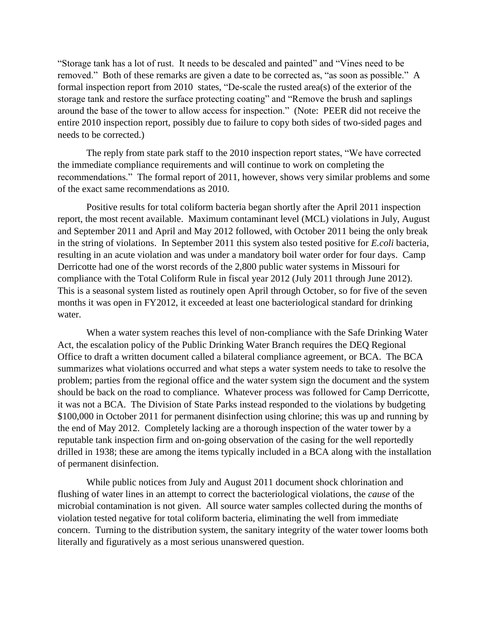"Storage tank has a lot of rust. It needs to be descaled and painted" and "Vines need to be removed." Both of these remarks are given a date to be corrected as, "as soon as possible." A formal inspection report from 2010 states, "De-scale the rusted area(s) of the exterior of the storage tank and restore the surface protecting coating" and "Remove the brush and saplings around the base of the tower to allow access for inspection." (Note: PEER did not receive the entire 2010 inspection report, possibly due to failure to copy both sides of two-sided pages and needs to be corrected.)

The reply from state park staff to the 2010 inspection report states, "We have corrected the immediate compliance requirements and will continue to work on completing the recommendations." The formal report of 2011, however, shows very similar problems and some of the exact same recommendations as 2010.

Positive results for total coliform bacteria began shortly after the April 2011 inspection report, the most recent available. Maximum contaminant level (MCL) violations in July, August and September 2011 and April and May 2012 followed, with October 2011 being the only break in the string of violations. In September 2011 this system also tested positive for *E.coli* bacteria, resulting in an acute violation and was under a mandatory boil water order for four days. Camp Derricotte had one of the worst records of the 2,800 public water systems in Missouri for compliance with the Total Coliform Rule in fiscal year 2012 (July 2011 through June 2012). This is a seasonal system listed as routinely open April through October, so for five of the seven months it was open in FY2012, it exceeded at least one bacteriological standard for drinking water.

When a water system reaches this level of non-compliance with the Safe Drinking Water Act, the escalation policy of the Public Drinking Water Branch requires the DEQ Regional Office to draft a written document called a bilateral compliance agreement, or BCA. The BCA summarizes what violations occurred and what steps a water system needs to take to resolve the problem; parties from the regional office and the water system sign the document and the system should be back on the road to compliance. Whatever process was followed for Camp Derricotte, it was not a BCA. The Division of State Parks instead responded to the violations by budgeting \$100,000 in October 2011 for permanent disinfection using chlorine; this was up and running by the end of May 2012. Completely lacking are a thorough inspection of the water tower by a reputable tank inspection firm and on-going observation of the casing for the well reportedly drilled in 1938; these are among the items typically included in a BCA along with the installation of permanent disinfection.

While public notices from July and August 2011 document shock chlorination and flushing of water lines in an attempt to correct the bacteriological violations, the *cause* of the microbial contamination is not given. All source water samples collected during the months of violation tested negative for total coliform bacteria, eliminating the well from immediate concern. Turning to the distribution system, the sanitary integrity of the water tower looms both literally and figuratively as a most serious unanswered question.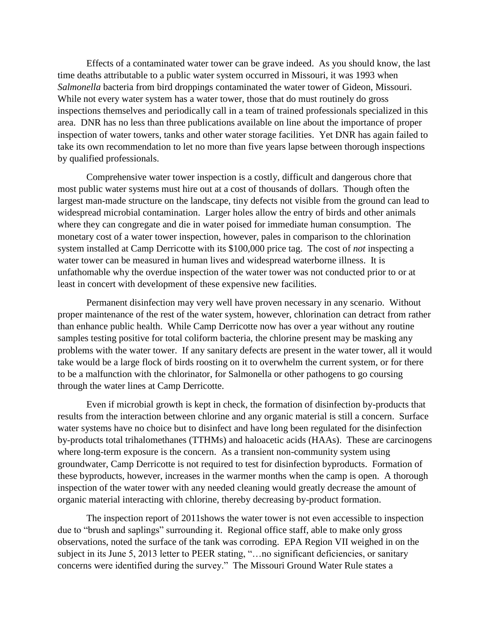Effects of a contaminated water tower can be grave indeed. As you should know, the last time deaths attributable to a public water system occurred in Missouri, it was 1993 when *Salmonella* bacteria from bird droppings contaminated the water tower of Gideon, Missouri. While not every water system has a water tower, those that do must routinely do gross inspections themselves and periodically call in a team of trained professionals specialized in this area. DNR has no less than three publications available on line about the importance of proper inspection of water towers, tanks and other water storage facilities. Yet DNR has again failed to take its own recommendation to let no more than five years lapse between thorough inspections by qualified professionals.

Comprehensive water tower inspection is a costly, difficult and dangerous chore that most public water systems must hire out at a cost of thousands of dollars. Though often the largest man-made structure on the landscape, tiny defects not visible from the ground can lead to widespread microbial contamination. Larger holes allow the entry of birds and other animals where they can congregate and die in water poised for immediate human consumption. The monetary cost of a water tower inspection, however, pales in comparison to the chlorination system installed at Camp Derricotte with its \$100,000 price tag. The cost of *not* inspecting a water tower can be measured in human lives and widespread waterborne illness. It is unfathomable why the overdue inspection of the water tower was not conducted prior to or at least in concert with development of these expensive new facilities.

Permanent disinfection may very well have proven necessary in any scenario. Without proper maintenance of the rest of the water system, however, chlorination can detract from rather than enhance public health. While Camp Derricotte now has over a year without any routine samples testing positive for total coliform bacteria, the chlorine present may be masking any problems with the water tower. If any sanitary defects are present in the water tower, all it would take would be a large flock of birds roosting on it to overwhelm the current system, or for there to be a malfunction with the chlorinator, for Salmonella or other pathogens to go coursing through the water lines at Camp Derricotte.

Even if microbial growth is kept in check, the formation of disinfection by-products that results from the interaction between chlorine and any organic material is still a concern. Surface water systems have no choice but to disinfect and have long been regulated for the disinfection by-products total trihalomethanes (TTHMs) and haloacetic acids (HAAs). These are carcinogens where long-term exposure is the concern. As a transient non-community system using groundwater, Camp Derricotte is not required to test for disinfection byproducts. Formation of these byproducts, however, increases in the warmer months when the camp is open. A thorough inspection of the water tower with any needed cleaning would greatly decrease the amount of organic material interacting with chlorine, thereby decreasing by-product formation.

The inspection report of 2011shows the water tower is not even accessible to inspection due to "brush and saplings" surrounding it. Regional office staff, able to make only gross observations, noted the surface of the tank was corroding. EPA Region VII weighed in on the subject in its June 5, 2013 letter to PEER stating, "... no significant deficiencies, or sanitary concerns were identified during the survey." The Missouri Ground Water Rule states a